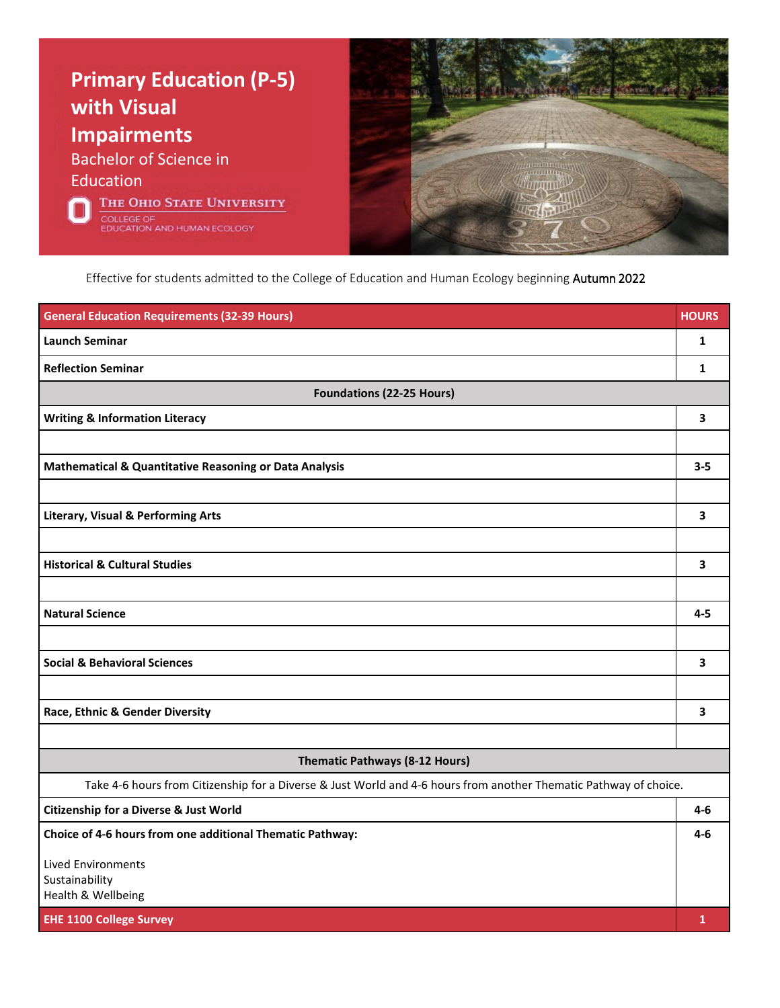

Effective for students admitted to the College of Education and Human Ecology beginning Autumn 2022

| <b>General Education Requirements (32-39 Hours)</b>                                                               | <b>HOURS</b>            |
|-------------------------------------------------------------------------------------------------------------------|-------------------------|
| <b>Launch Seminar</b>                                                                                             | $\mathbf{1}$            |
| <b>Reflection Seminar</b>                                                                                         | $\mathbf{1}$            |
| <b>Foundations (22-25 Hours)</b>                                                                                  |                         |
| <b>Writing &amp; Information Literacy</b>                                                                         | 3                       |
|                                                                                                                   |                         |
| <b>Mathematical &amp; Quantitative Reasoning or Data Analysis</b>                                                 | $3 - 5$                 |
|                                                                                                                   |                         |
| <b>Literary, Visual &amp; Performing Arts</b>                                                                     | $\overline{\mathbf{3}}$ |
|                                                                                                                   |                         |
| <b>Historical &amp; Cultural Studies</b>                                                                          | 3                       |
|                                                                                                                   |                         |
| <b>Natural Science</b>                                                                                            | $4 - 5$                 |
|                                                                                                                   |                         |
| <b>Social &amp; Behavioral Sciences</b>                                                                           | 3                       |
|                                                                                                                   |                         |
| Race, Ethnic & Gender Diversity                                                                                   | 3                       |
|                                                                                                                   |                         |
| Thematic Pathways (8-12 Hours)                                                                                    |                         |
| Take 4-6 hours from Citizenship for a Diverse & Just World and 4-6 hours from another Thematic Pathway of choice. |                         |
| <b>Citizenship for a Diverse &amp; Just World</b>                                                                 | $4-6$                   |
| Choice of 4-6 hours from one additional Thematic Pathway:                                                         | $4 - 6$                 |
| <b>Lived Environments</b>                                                                                         |                         |
| Sustainability<br>Health & Wellbeing                                                                              |                         |
| <b>EHE 1100 College Survey</b>                                                                                    | 1                       |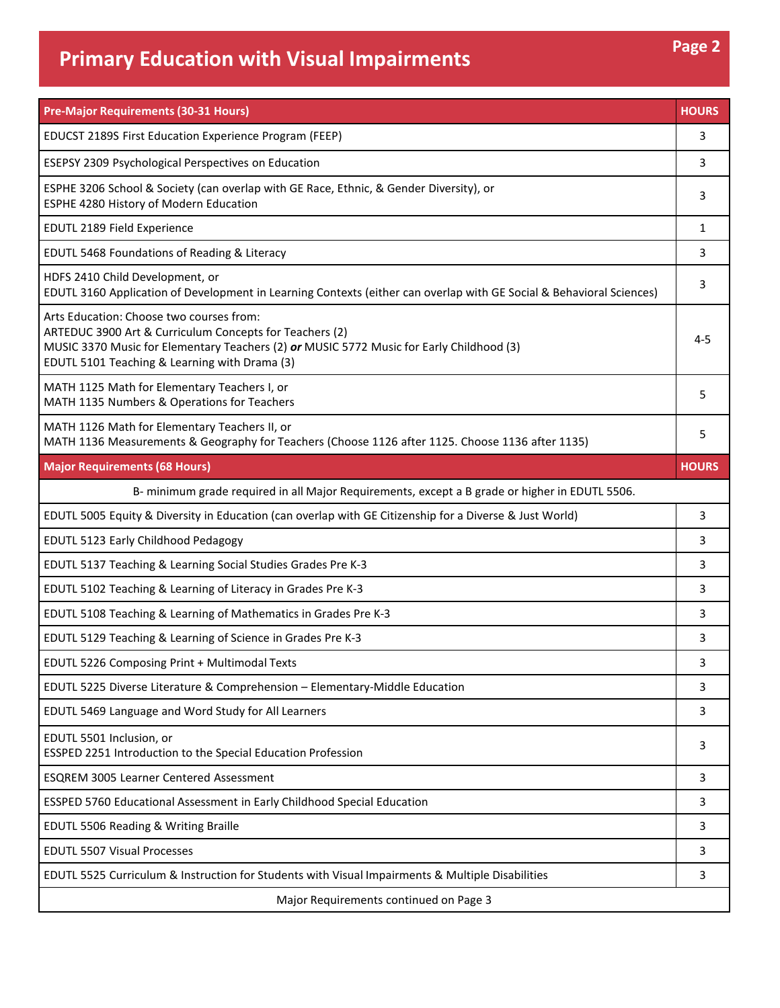## **Primary Education with Visual**

| <b>Primary Education with Visual Impairments</b>                                                                                                        | rage z       |
|---------------------------------------------------------------------------------------------------------------------------------------------------------|--------------|
| <b>Pre-Major Requirements (30-31 Hours)</b>                                                                                                             | <b>HOURS</b> |
| EDUCST 2189S First Education Experience Program (FEEP)                                                                                                  | 3            |
| <b>ESEPSY 2309 Psychological Perspectives on Education</b>                                                                                              | 3            |
| ESPHE 3206 School & Society (can overlap with GE Race, Ethnic, & Gender Diversity), or<br>ESPHE 4280 History of Modern Education                        | 3            |
| <b>EDUTL 2189 Field Experience</b>                                                                                                                      | 1            |
| EDUTL 5468 Foundations of Reading & Literacy                                                                                                            | 3            |
| HDFS 2410 Child Development, or<br>EDUTL 3160 Application of Development in Learning Contexts (either can overlap with GE Social & Behavioral Sciences) | з            |
|                                                                                                                                                         |              |

| EDUTL 2189 Field Experience                                                                                                                                                                                                                      | 1            |
|--------------------------------------------------------------------------------------------------------------------------------------------------------------------------------------------------------------------------------------------------|--------------|
| EDUTL 5468 Foundations of Reading & Literacy                                                                                                                                                                                                     | 3            |
| HDFS 2410 Child Development, or<br>EDUTL 3160 Application of Development in Learning Contexts (either can overlap with GE Social & Behavioral Sciences)                                                                                          | 3            |
| Arts Education: Choose two courses from:<br>ARTEDUC 3900 Art & Curriculum Concepts for Teachers (2)<br>MUSIC 3370 Music for Elementary Teachers (2) or MUSIC 5772 Music for Early Childhood (3)<br>EDUTL 5101 Teaching & Learning with Drama (3) | $4 - 5$      |
| MATH 1125 Math for Elementary Teachers I, or<br>MATH 1135 Numbers & Operations for Teachers                                                                                                                                                      | 5            |
| MATH 1126 Math for Elementary Teachers II, or<br>MATH 1136 Measurements & Geography for Teachers (Choose 1126 after 1125. Choose 1136 after 1135)                                                                                                | 5            |
| <b>Major Requirements (68 Hours)</b>                                                                                                                                                                                                             | <b>HOURS</b> |
| B- minimum grade required in all Major Requirements, except a B grade or higher in EDUTL 5506.                                                                                                                                                   |              |
| EDUTL 5005 Equity & Diversity in Education (can overlap with GE Citizenship for a Diverse & Just World)                                                                                                                                          | 3            |
| EDUTL 5123 Early Childhood Pedagogy                                                                                                                                                                                                              | 3            |
| EDUTL 5137 Teaching & Learning Social Studies Grades Pre K-3                                                                                                                                                                                     | 3            |
| EDUTL 5102 Teaching & Learning of Literacy in Grades Pre K-3                                                                                                                                                                                     | 3            |
| EDUTL 5108 Teaching & Learning of Mathematics in Grades Pre K-3                                                                                                                                                                                  | 3            |
| EDUTL 5129 Teaching & Learning of Science in Grades Pre K-3                                                                                                                                                                                      | 3            |
| EDUTL 5226 Composing Print + Multimodal Texts                                                                                                                                                                                                    | 3            |
| EDUTL 5225 Diverse Literature & Comprehension - Elementary-Middle Education                                                                                                                                                                      | 3            |
| EDUTL 5469 Language and Word Study for All Learners                                                                                                                                                                                              | 3            |
| EDUTL 5501 Inclusion, or<br>ESSPED 2251 Introduction to the Special Education Profession                                                                                                                                                         | 3            |
| <b>ESQREM 3005 Learner Centered Assessment</b>                                                                                                                                                                                                   | 3            |
| ESSPED 5760 Educational Assessment in Early Childhood Special Education                                                                                                                                                                          | 3            |
| EDUTL 5506 Reading & Writing Braille                                                                                                                                                                                                             | 3            |
| <b>EDUTL 5507 Visual Processes</b>                                                                                                                                                                                                               | 3            |
| EDUTL 5525 Curriculum & Instruction for Students with Visual Impairments & Multiple Disabilities                                                                                                                                                 | 3            |
| Major Requirements continued on Page 3                                                                                                                                                                                                           |              |